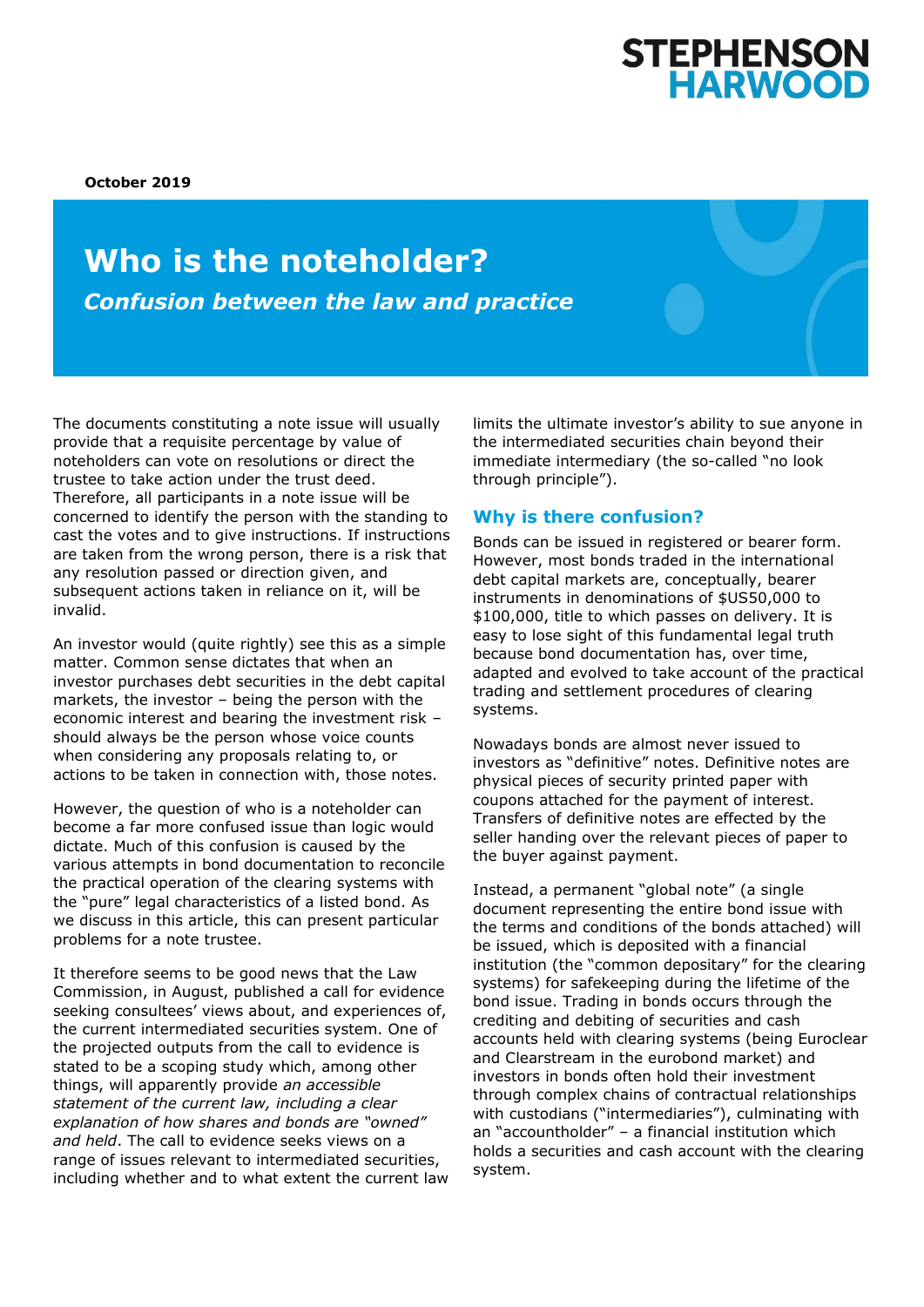# **STEPHENSON<br>HARWOOD**

**October 2019**

## **Who is the noteholder?** *Confusion between the law and practice*

The documents constituting a note issue will usually provide that a requisite percentage by value of noteholders can vote on resolutions or direct the trustee to take action under the trust deed. Therefore, all participants in a note issue will be concerned to identify the person with the standing to cast the votes and to give instructions. If instructions are taken from the wrong person, there is a risk that any resolution passed or direction given, and subsequent actions taken in reliance on it, will be invalid.

An investor would (quite rightly) see this as a simple matter. Common sense dictates that when an investor purchases debt securities in the debt capital markets, the investor – being the person with the economic interest and bearing the investment risk – should always be the person whose voice counts when considering any proposals relating to, or actions to be taken in connection with, those notes.

However, the question of who is a noteholder can become a far more confused issue than logic would dictate. Much of this confusion is caused by the various attempts in bond documentation to reconcile the practical operation of the clearing systems with the "pure" legal characteristics of a listed bond. As we discuss in this article, this can present particular problems for a note trustee.

It therefore seems to be good news that the Law Commission, in August, published a call for evidence seeking consultees' views about, and experiences of, the current intermediated securities system. One of the projected outputs from the call to evidence is stated to be a scoping study which, among other things, will apparently provide *an accessible statement of the current law, including a clear explanation of how shares and bonds are "owned" and held*. The call to evidence seeks views on a range of issues relevant to intermediated securities, including whether and to what extent the current law limits the ultimate investor's ability to sue anyone in the intermediated securities chain beyond their immediate intermediary (the so-called "no look through principle").

### **Why is there confusion?**

Bonds can be issued in registered or bearer form. However, most bonds traded in the international debt capital markets are, conceptually, bearer instruments in denominations of \$US50,000 to \$100,000, title to which passes on delivery. It is easy to lose sight of this fundamental legal truth because bond documentation has, over time, adapted and evolved to take account of the practical trading and settlement procedures of clearing systems.

Nowadays bonds are almost never issued to investors as "definitive" notes. Definitive notes are physical pieces of security printed paper with coupons attached for the payment of interest. Transfers of definitive notes are effected by the seller handing over the relevant pieces of paper to the buyer against payment.

Instead, a permanent "global note" (a single document representing the entire bond issue with the terms and conditions of the bonds attached) will be issued, which is deposited with a financial institution (the "common depositary" for the clearing systems) for safekeeping during the lifetime of the bond issue. Trading in bonds occurs through the crediting and debiting of securities and cash accounts held with clearing systems (being Euroclear and Clearstream in the eurobond market) and investors in bonds often hold their investment through complex chains of contractual relationships with custodians ("intermediaries"), culminating with an "accountholder" – a financial institution which holds a securities and cash account with the clearing system.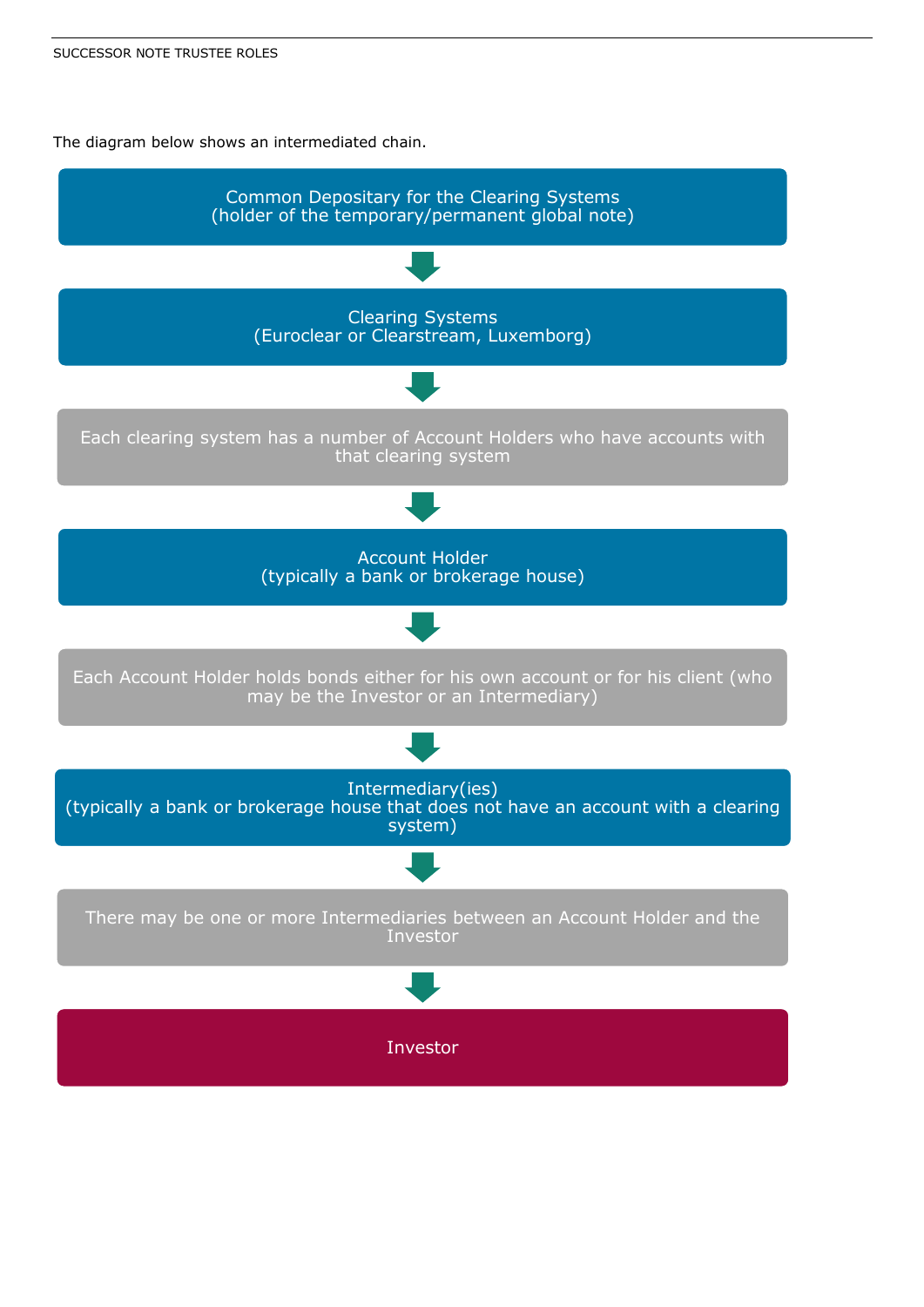The diagram below shows an intermediated chain.

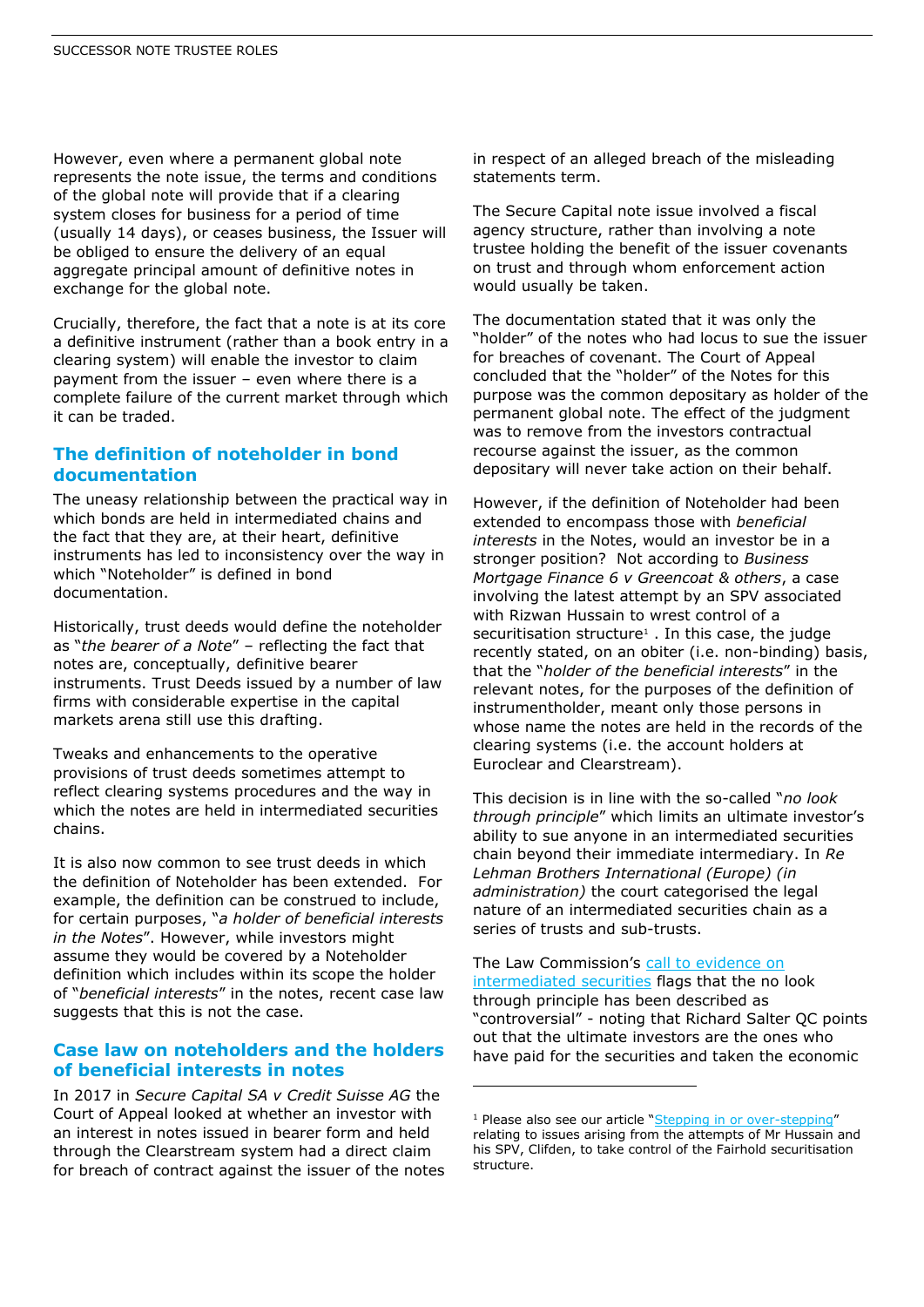However, even where a permanent global note represents the note issue, the terms and conditions of the global note will provide that if a clearing system closes for business for a period of time (usually 14 days), or ceases business, the Issuer will be obliged to ensure the delivery of an equal aggregate principal amount of definitive notes in exchange for the global note.

Crucially, therefore, the fact that a note is at its core a definitive instrument (rather than a book entry in a clearing system) will enable the investor to claim payment from the issuer – even where there is a complete failure of the current market through which it can be traded.

#### **The definition of noteholder in bond documentation**

The uneasy relationship between the practical way in which bonds are held in intermediated chains and the fact that they are, at their heart, definitive instruments has led to inconsistency over the way in which "Noteholder" is defined in bond documentation.

Historically, trust deeds would define the noteholder as "*the bearer of a Note*" – reflecting the fact that notes are, conceptually, definitive bearer instruments. Trust Deeds issued by a number of law firms with considerable expertise in the capital markets arena still use this drafting.

Tweaks and enhancements to the operative provisions of trust deeds sometimes attempt to reflect clearing systems procedures and the way in which the notes are held in intermediated securities chains.

It is also now common to see trust deeds in which the definition of Noteholder has been extended. For example, the definition can be construed to include, for certain purposes, "*a holder of beneficial interests in the Notes*". However, while investors might assume they would be covered by a Noteholder definition which includes within its scope the holder of "*beneficial interests*" in the notes, recent case law suggests that this is not the case.

#### **Case law on noteholders and the holders of beneficial interests in notes**

In 2017 in *Secure Capital SA v Credit Suisse AG* the Court of Appeal looked at whether an investor with an interest in notes issued in bearer form and held through the Clearstream system had a direct claim for breach of contract against the issuer of the notes in respect of an alleged breach of the misleading statements term.

The Secure Capital note issue involved a fiscal agency structure, rather than involving a note trustee holding the benefit of the issuer covenants on trust and through whom enforcement action would usually be taken.

The documentation stated that it was only the "holder" of the notes who had locus to sue the issuer for breaches of covenant. The Court of Appeal concluded that the "holder" of the Notes for this purpose was the common depositary as holder of the permanent global note. The effect of the judgment was to remove from the investors contractual recourse against the issuer, as the common depositary will never take action on their behalf.

However, if the definition of Noteholder had been extended to encompass those with *beneficial interests* in the Notes, would an investor be in a stronger position? Not according to *Business Mortgage Finance 6 v Greencoat & others*, a case involving the latest attempt by an SPV associated with Rizwan Hussain to wrest control of a securitisation structure<sup>1</sup>. In this case, the judge recently stated, on an obiter (i.e. non-binding) basis, that the "*holder of the beneficial interests*" in the relevant notes, for the purposes of the definition of instrumentholder, meant only those persons in whose name the notes are held in the records of the clearing systems (i.e. the account holders at Euroclear and Clearstream).

This decision is in line with the so-called "*no look through principle*" which limits an ultimate investor's ability to sue anyone in an intermediated securities chain beyond their immediate intermediary. In *Re Lehman Brothers International (Europe) (in administration)* the court categorised the legal nature of an intermediated securities chain as a series of trusts and sub-trusts.

The Law Commission's [call to evidence on](https://www.lawcom.gov.uk/law-commission-seeks-views-on-intermediated-securities/)  [intermediated securities](https://www.lawcom.gov.uk/law-commission-seeks-views-on-intermediated-securities/) flags that the no look through principle has been described as "controversial" - noting that Richard Salter QC points out that the ultimate investors are the ones who have paid for the securities and taken the economic

-

<sup>&</sup>lt;sup>1</sup> Please also see our article "[Stepping in or over-stepping](https://www.shlegal.com/news/stepping-in-or-over-stepping)" relating to issues arising from the attempts of Mr Hussain and his SPV, Clifden, to take control of the Fairhold securitisation structure.